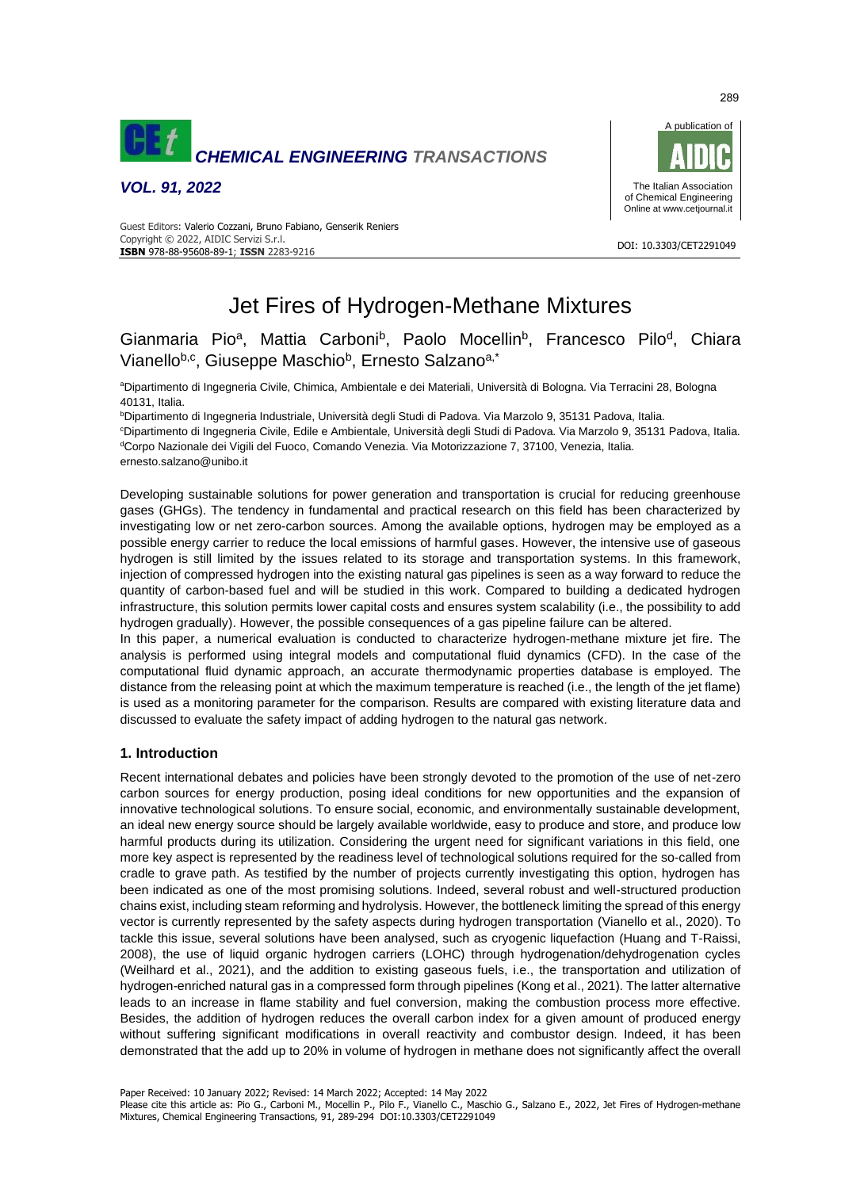

*VOL. 91, 2022*



#### DOI: 10.3303/CET2291049 **ISBN** 978-88-95608-89-1; **ISSN** 2283-9216 Guest Editors: Valerio Cozzani, Bruno Fabiano, Genserik Reniers Copyright © 2022, AIDIC Servizi S.r.l.

# Jet Fires of Hydrogen-Methane Mixtures

## Gianmaria Pio<sup>a</sup>, Mattia Carboni<sup>b</sup>, Paolo Mocellin<sup>b</sup>, Francesco Pilo<sup>d</sup>, Chiara Vianello<sup>b,c</sup>, Giuseppe Maschio<sup>b</sup>, Ernesto Salzano<sup>a,\*</sup>

<sup>a</sup>Dipartimento di Ingegneria Civile, Chimica, Ambientale e dei Materiali, Università di Bologna. Via Terracini 28, Bologna 40131, Italia.

<sup>b</sup>Dipartimento di Ingegneria Industriale, Università degli Studi di Padova. Via Marzolo 9, 35131 Padova, Italia.

<sup>c</sup>Dipartimento di Ingegneria Civile, Edile e Ambientale, Università degli Studi di Padova. Via Marzolo 9, 35131 Padova, Italia. <sup>d</sup>Corpo Nazionale dei Vigili del Fuoco, Comando Venezia. Via Motorizzazione 7, 37100, Venezia, Italia.

ernesto.salzano@unibo.it

Developing sustainable solutions for power generation and transportation is crucial for reducing greenhouse gases (GHGs). The tendency in fundamental and practical research on this field has been characterized by investigating low or net zero-carbon sources. Among the available options, hydrogen may be employed as a possible energy carrier to reduce the local emissions of harmful gases. However, the intensive use of gaseous hydrogen is still limited by the issues related to its storage and transportation systems. In this framework, injection of compressed hydrogen into the existing natural gas pipelines is seen as a way forward to reduce the quantity of carbon-based fuel and will be studied in this work. Compared to building a dedicated hydrogen infrastructure, this solution permits lower capital costs and ensures system scalability (i.e., the possibility to add hydrogen gradually). However, the possible consequences of a gas pipeline failure can be altered.

In this paper, a numerical evaluation is conducted to characterize hydrogen-methane mixture jet fire. The analysis is performed using integral models and computational fluid dynamics (CFD). In the case of the computational fluid dynamic approach, an accurate thermodynamic properties database is employed. The distance from the releasing point at which the maximum temperature is reached (i.e., the length of the jet flame) is used as a monitoring parameter for the comparison. Results are compared with existing literature data and discussed to evaluate the safety impact of adding hydrogen to the natural gas network.

### **1. Introduction**

Recent international debates and policies have been strongly devoted to the promotion of the use of net-zero carbon sources for energy production, posing ideal conditions for new opportunities and the expansion of innovative technological solutions. To ensure social, economic, and environmentally sustainable development, an ideal new energy source should be largely available worldwide, easy to produce and store, and produce low harmful products during its utilization. Considering the urgent need for significant variations in this field, one more key aspect is represented by the readiness level of technological solutions required for the so-called from cradle to grave path. As testified by the number of projects currently investigating this option, hydrogen has been indicated as one of the most promising solutions. Indeed, several robust and well-structured production chains exist, including steam reforming and hydrolysis. However, the bottleneck limiting the spread of this energy vector is currently represented by the safety aspects during hydrogen transportation (Vianello et al., 2020). To tackle this issue, several solutions have been analysed, such as cryogenic liquefaction (Huang and T-Raissi, 2008), the use of liquid organic hydrogen carriers (LOHC) through hydrogenation/dehydrogenation cycles (Weilhard et al., 2021), and the addition to existing gaseous fuels, i.e., the transportation and utilization of hydrogen-enriched natural gas in a compressed form through pipelines (Kong et al., 2021). The latter alternative leads to an increase in flame stability and fuel conversion, making the combustion process more effective. Besides, the addition of hydrogen reduces the overall carbon index for a given amount of produced energy without suffering significant modifications in overall reactivity and combustor design. Indeed, it has been demonstrated that the add up to 20% in volume of hydrogen in methane does not significantly affect the overall

Please cite this article as: Pio G., Carboni M., Mocellin P., Pilo F., Vianello C., Maschio G., Salzano E., 2022, Jet Fires of Hydrogen-methane Mixtures, Chemical Engineering Transactions, 91, 289-294 DOI:10.3303/CET2291049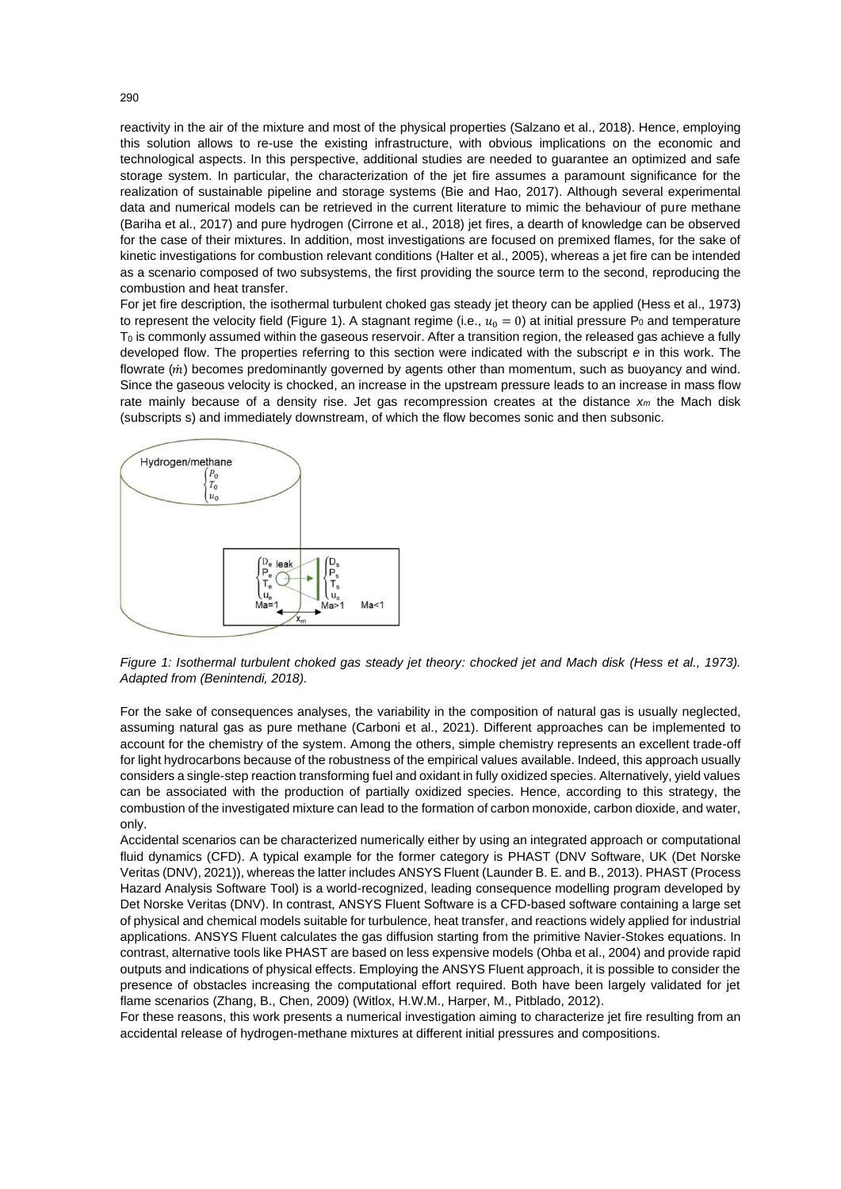reactivity in the air of the mixture and most of the physical properties (Salzano et al., 2018). Hence, employing this solution allows to re-use the existing infrastructure, with obvious implications on the economic and technological aspects. In this perspective, additional studies are needed to guarantee an optimized and safe storage system. In particular, the characterization of the jet fire assumes a paramount significance for the realization of sustainable pipeline and storage systems (Bie and Hao, 2017). Although several experimental data and numerical models can be retrieved in the current literature to mimic the behaviour of pure methane (Bariha et al., 2017) and pure hydrogen (Cirrone et al., 2018) jet fires, a dearth of knowledge can be observed for the case of their mixtures. In addition, most investigations are focused on premixed flames, for the sake of kinetic investigations for combustion relevant conditions (Halter et al., 2005), whereas a jet fire can be intended as a scenario composed of two subsystems, the first providing the source term to the second, reproducing the combustion and heat transfer.

For jet fire description, the isothermal turbulent choked gas steady jet theory can be applied (Hess et al., 1973) to represent the velocity field (Figure 1). A stagnant regime (i.e.,  $u_0 = 0$ ) at initial pressure P<sub>0</sub> and temperature  $T_0$  is commonly assumed within the gaseous reservoir. After a transition region, the released gas achieve a fully developed flow. The properties referring to this section were indicated with the subscript *e* in this work. The flowrate  $(i)$  becomes predominantly governed by agents other than momentum, such as buoyancy and wind. Since the gaseous velocity is chocked, an increase in the upstream pressure leads to an increase in mass flow rate mainly because of a density rise. Jet gas recompression creates at the distance *x<sup>m</sup>* the Mach disk (subscripts s) and immediately downstream, of which the flow becomes sonic and then subsonic.



*Figure 1: Isothermal turbulent choked gas steady jet theory: chocked jet and Mach disk (Hess et al., 1973). Adapted from (Benintendi, 2018).*

For the sake of consequences analyses, the variability in the composition of natural gas is usually neglected, assuming natural gas as pure methane (Carboni et al., 2021). Different approaches can be implemented to account for the chemistry of the system. Among the others, simple chemistry represents an excellent trade-off for light hydrocarbons because of the robustness of the empirical values available. Indeed, this approach usually considers a single-step reaction transforming fuel and oxidant in fully oxidized species. Alternatively, yield values can be associated with the production of partially oxidized species. Hence, according to this strategy, the combustion of the investigated mixture can lead to the formation of carbon monoxide, carbon dioxide, and water, only.

Accidental scenarios can be characterized numerically either by using an integrated approach or computational fluid dynamics (CFD). A typical example for the former category is PHAST (DNV Software, UK (Det Norske Veritas (DNV), 2021)), whereas the latter includes ANSYS Fluent (Launder B. E. and B., 2013). PHAST (Process Hazard Analysis Software Tool) is a world-recognized, leading consequence modelling program developed by Det Norske Veritas (DNV). In contrast, ANSYS Fluent Software is a CFD-based software containing a large set of physical and chemical models suitable for turbulence, heat transfer, and reactions widely applied for industrial applications. ANSYS Fluent calculates the gas diffusion starting from the primitive Navier-Stokes equations. In contrast, alternative tools like PHAST are based on less expensive models (Ohba et al., 2004) and provide rapid outputs and indications of physical effects. Employing the ANSYS Fluent approach, it is possible to consider the presence of obstacles increasing the computational effort required. Both have been largely validated for jet flame scenarios (Zhang, B., Chen, 2009) (Witlox, H.W.M., Harper, M., Pitblado, 2012).

For these reasons, this work presents a numerical investigation aiming to characterize jet fire resulting from an accidental release of hydrogen-methane mixtures at different initial pressures and compositions.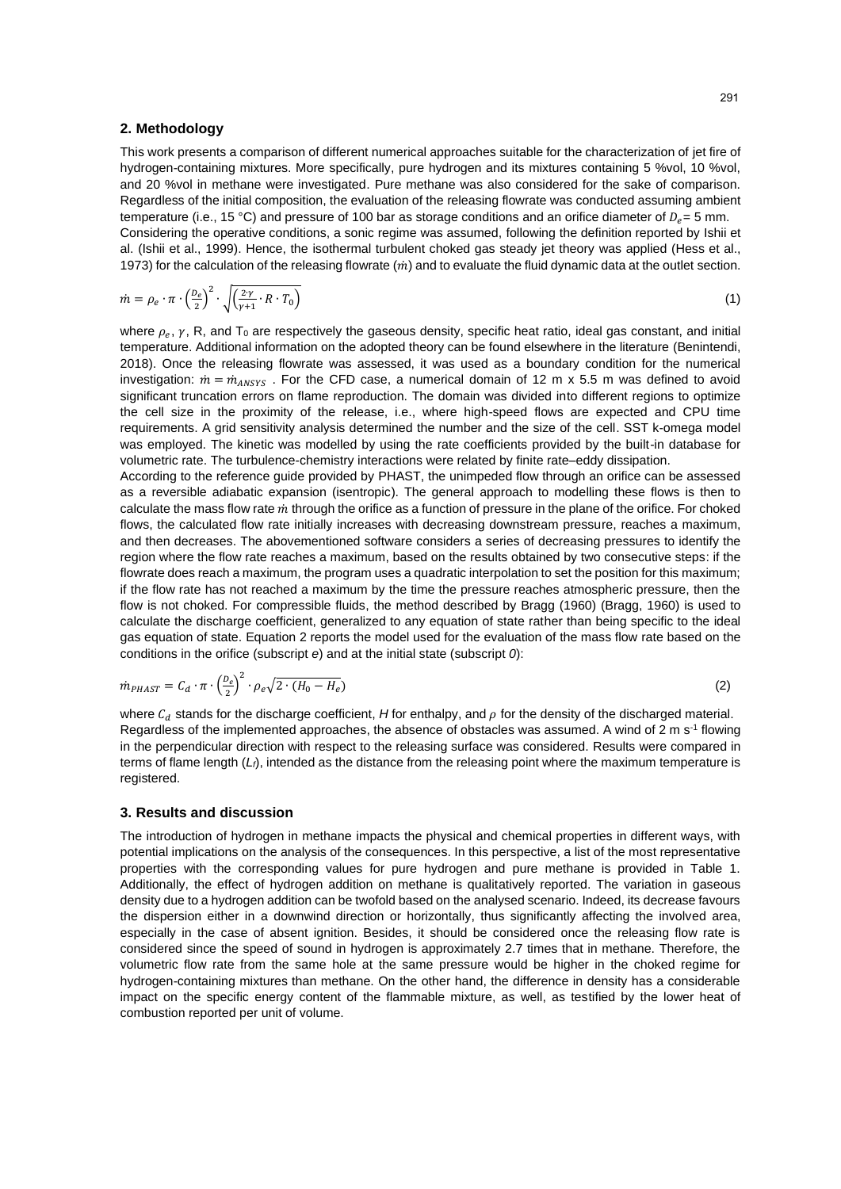#### **2. Methodology**

This work presents a comparison of different numerical approaches suitable for the characterization of jet fire of hydrogen-containing mixtures. More specifically, pure hydrogen and its mixtures containing 5 %vol, 10 %vol, and 20 %vol in methane were investigated. Pure methane was also considered for the sake of comparison. Regardless of the initial composition, the evaluation of the releasing flowrate was conducted assuming ambient temperature (i.e., 15 °C) and pressure of 100 bar as storage conditions and an orifice diameter of  $D<sub>e</sub> = 5$  mm. Considering the operative conditions, a sonic regime was assumed, following the definition reported by Ishii et al. (Ishii et al., 1999). Hence, the isothermal turbulent choked gas steady jet theory was applied (Hess et al., 1973) for the calculation of the releasing flowrate  $(m)$  and to evaluate the fluid dynamic data at the outlet section.

$$
\dot{m} = \rho_e \cdot \pi \cdot \left(\frac{D_e}{2}\right)^2 \cdot \sqrt{\left(\frac{2\gamma}{\gamma + 1} \cdot R \cdot T_0\right)}\tag{1}
$$

where  $\rho_e$ ,  $\gamma$ , R, and T<sub>0</sub> are respectively the gaseous density, specific heat ratio, ideal gas constant, and initial temperature. Additional information on the adopted theory can be found elsewhere in the literature (Benintendi, 2018). Once the releasing flowrate was assessed, it was used as a boundary condition for the numerical investigation:  $\dot{m} = \dot{m}_{ANSYS}$ . For the CFD case, a numerical domain of 12 m x 5.5 m was defined to avoid significant truncation errors on flame reproduction. The domain was divided into different regions to optimize the cell size in the proximity of the release, i.e., where high-speed flows are expected and CPU time requirements. A grid sensitivity analysis determined the number and the size of the cell. SST k-omega model was employed. The kinetic was modelled by using the rate coefficients provided by the built-in database for volumetric rate. The turbulence-chemistry interactions were related by finite rate–eddy dissipation.

According to the reference guide provided by PHAST, the unimpeded flow through an orifice can be assessed as a reversible adiabatic expansion (isentropic). The general approach to modelling these flows is then to calculate the mass flow rate  $\dot{m}$  through the orifice as a function of pressure in the plane of the orifice. For choked flows, the calculated flow rate initially increases with decreasing downstream pressure, reaches a maximum, and then decreases. The abovementioned software considers a series of decreasing pressures to identify the region where the flow rate reaches a maximum, based on the results obtained by two consecutive steps: if the flowrate does reach a maximum, the program uses a quadratic interpolation to set the position for this maximum; if the flow rate has not reached a maximum by the time the pressure reaches atmospheric pressure, then the flow is not choked. For compressible fluids, the method described by Bragg (1960) (Bragg, 1960) is used to calculate the discharge coefficient, generalized to any equation of state rather than being specific to the ideal gas equation of state. Equation 2 reports the model used for the evaluation of the mass flow rate based on the conditions in the orifice (subscript *e*) and at the initial state (subscript *0*):

$$
\dot{m}_{PHAST} = C_d \cdot \pi \cdot \left(\frac{D_e}{2}\right)^2 \cdot \rho_e \sqrt{2 \cdot (H_0 - H_e)}\tag{2}
$$

where  $c_d$  stands for the discharge coefficient, *H* for enthalpy, and  $\rho$  for the density of the discharged material. Regardless of the implemented approaches, the absence of obstacles was assumed. A wind of  $2 \text{ m s}^{-1}$  flowing in the perpendicular direction with respect to the releasing surface was considered. Results were compared in terms of flame length (*Lf*), intended as the distance from the releasing point where the maximum temperature is registered.

#### **3. Results and discussion**

The introduction of hydrogen in methane impacts the physical and chemical properties in different ways, with potential implications on the analysis of the consequences. In this perspective, a list of the most representative properties with the corresponding values for pure hydrogen and pure methane is provided in Table 1. Additionally, the effect of hydrogen addition on methane is qualitatively reported. The variation in gaseous density due to a hydrogen addition can be twofold based on the analysed scenario. Indeed, its decrease favours the dispersion either in a downwind direction or horizontally, thus significantly affecting the involved area, especially in the case of absent ignition. Besides, it should be considered once the releasing flow rate is considered since the speed of sound in hydrogen is approximately 2.7 times that in methane. Therefore, the volumetric flow rate from the same hole at the same pressure would be higher in the choked regime for hydrogen-containing mixtures than methane. On the other hand, the difference in density has a considerable impact on the specific energy content of the flammable mixture, as well, as testified by the lower heat of combustion reported per unit of volume.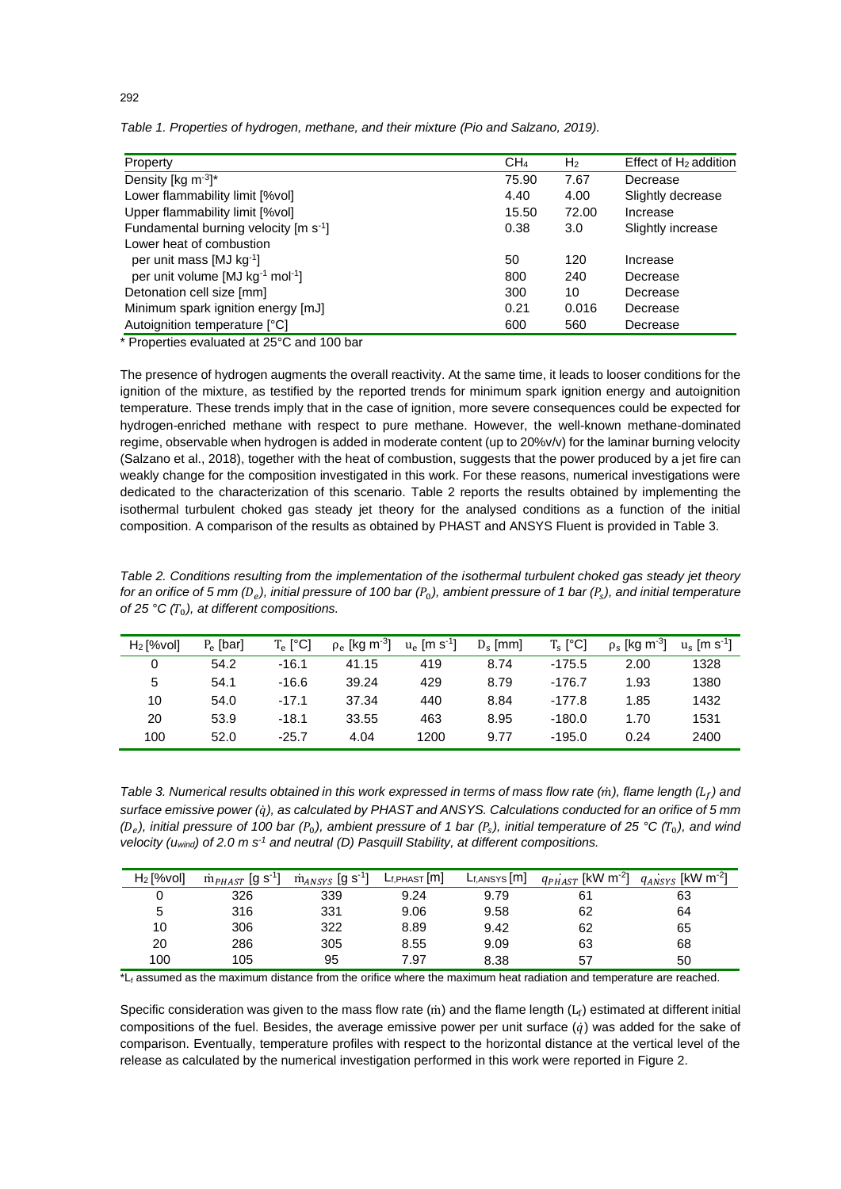| Property                                                 | CH <sub>4</sub> | H <sub>2</sub> | Effect of $H_2$ addition |
|----------------------------------------------------------|-----------------|----------------|--------------------------|
| Density [kg $\text{m}^{-3}$ ]*                           | 75.90           | 7.67           | Decrease                 |
| Lower flammability limit [%vol]                          | 4.40            | 4.00           | Slightly decrease        |
| Upper flammability limit [%vol]                          | 15.50           | 72.00          | Increase                 |
| Fundamental burning velocity [m s <sup>-1</sup> ]        | 0.38            | 3.0            | Slightly increase        |
| Lower heat of combustion                                 |                 |                |                          |
| per unit mass [MJ kg <sup>-1</sup> ]                     | 50              | 120            | Increase                 |
| per unit volume [MJ kg <sup>-1</sup> mol <sup>-1</sup> ] | 800             | 240            | Decrease                 |
| Detonation cell size [mm]                                | 300             | 10             | Decrease                 |
| Minimum spark ignition energy [mJ]                       | 0.21            | 0.016          | Decrease                 |
| Autoignition temperature [°C]                            | 600             | 560            | Decrease                 |

*Table 1. Properties of hydrogen, methane, and their mixture (Pio and Salzano, 2019).*

\* Properties evaluated at 25°C and 100 bar

The presence of hydrogen augments the overall reactivity. At the same time, it leads to looser conditions for the ignition of the mixture, as testified by the reported trends for minimum spark ignition energy and autoignition temperature. These trends imply that in the case of ignition, more severe consequences could be expected for hydrogen-enriched methane with respect to pure methane. However, the well-known methane-dominated regime, observable when hydrogen is added in moderate content (up to 20%v/v) for the laminar burning velocity (Salzano et al., 2018), together with the heat of combustion, suggests that the power produced by a jet fire can weakly change for the composition investigated in this work. For these reasons, numerical investigations were dedicated to the characterization of this scenario. Table 2 reports the results obtained by implementing the isothermal turbulent choked gas steady jet theory for the analysed conditions as a function of the initial composition. A comparison of the results as obtained by PHAST and ANSYS Fluent is provided in Table 3.

*Table 2. Conditions resulting from the implementation of the isothermal turbulent choked gas steady jet theory for an orifice of 5 mm ( ), initial pressure of 100 bar (*0*), ambient pressure of 1 bar ( ), and initial temperature of 25 °C*  $(T_0)$ *, at different compositions.* 

| $H_2$ [%vol] | $P_{\rho}$ [bar] | $T_e$ [°C] | $\rho_e$ [kg m <sup>-3</sup> ] | $u_e$ [m s <sup>-1</sup> ] | $D_s$ [mm] | $T_s$ [ $^{\circ}$ C] | $\rho_{\rm s}$ [kg m <sup>-3</sup> ] | $u_s$ [m s <sup>-1</sup> ] |
|--------------|------------------|------------|--------------------------------|----------------------------|------------|-----------------------|--------------------------------------|----------------------------|
| 0            | 54.2             | $-16.1$    | 41.15                          | 419                        | 8.74       | $-175.5$              | 2.00                                 | 1328                       |
| 5            | 54.1             | $-16.6$    | 39.24                          | 429                        | 8.79       | $-176.7$              | 1.93                                 | 1380                       |
| 10           | 54.0             | $-17.1$    | 37.34                          | 440                        | 8.84       | $-177.8$              | 1.85                                 | 1432                       |
| 20           | 53.9             | $-18.1$    | 33.55                          | 463                        | 8.95       | $-180.0$              | 1.70                                 | 1531                       |
| 100          | 52.0             | -25.7      | 4.04                           | 1200                       | 9.77       | $-195.0$              | 0.24                                 | 2400                       |

*Table 3. Numerical results obtained in this work expressed in terms of mass flow rate (*̇*), flame length () and surface emissive power (*̇*), as calculated by PHAST and ANSYS. Calculations conducted for an orifice of 5 mm*   $(D_e)$ , initial pressure of 100 bar  $(P_0)$ , ambient pressure of 1 bar  $(P_s)$ , initial temperature of 25 °C  $(T_0)$ , and wind *velocity (uwind) of 2.0 m s-1 and neutral (D) Pasquill Stability, at different compositions.*

| $H_2$ [%vol] | $\dot{m}_{PHAST}$ [g s <sup>-1</sup> ] | $\dot{\mathrm{m}}_{ANSYS}$ [g s <sup>-1</sup> ] | $L_{f,PHAST}[m]$ | $L_{f,ANSYS}[m]$ | $q_{PHAST}$ [kW m <sup>-2</sup> ] $q_{ANSYS}$ [kW m <sup>-2</sup> ] |    |
|--------------|----------------------------------------|-------------------------------------------------|------------------|------------------|---------------------------------------------------------------------|----|
|              | 326                                    | 339                                             | 9.24             | 9.79             | 61                                                                  | 63 |
| 5            | 316                                    | 331                                             | 9.06             | 9.58             | 62                                                                  | 64 |
| 10           | 306                                    | 322                                             | 8.89             | 9.42             | 62                                                                  | 65 |
| 20           | 286                                    | 305                                             | 8.55             | 9.09             | 63                                                                  | 68 |
| 100          | 105                                    | 95                                              | 7.97             | 8.38             | 57                                                                  | 50 |

 $*L_f$  assumed as the maximum distance from the orifice where the maximum heat radiation and temperature are reached.

Specific consideration was given to the mass flow rate ( $\dot{m}$ ) and the flame length ( $L_f$ ) estimated at different initial compositions of the fuel. Besides, the average emissive power per unit surface  $(\dot{q})$  was added for the sake of comparison. Eventually, temperature profiles with respect to the horizontal distance at the vertical level of the release as calculated by the numerical investigation performed in this work were reported in Figure 2.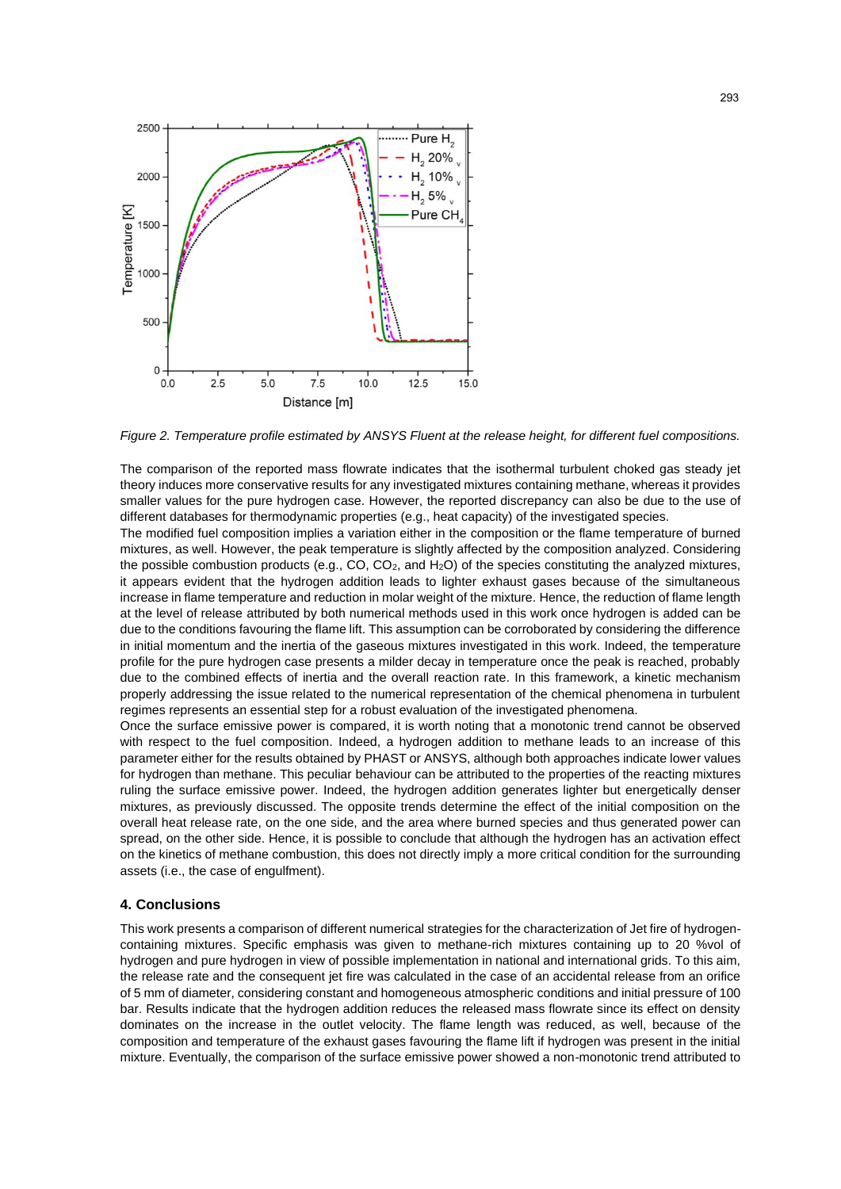

*Figure 2. Temperature profile estimated by ANSYS Fluent at the release height, for different fuel compositions.*

The comparison of the reported mass flowrate indicates that the isothermal turbulent choked gas steady jet theory induces more conservative results for any investigated mixtures containing methane, whereas it provides smaller values for the pure hydrogen case. However, the reported discrepancy can also be due to the use of different databases for thermodynamic properties (e.g., heat capacity) of the investigated species.

The modified fuel composition implies a variation either in the composition or the flame temperature of burned mixtures, as well. However, the peak temperature is slightly affected by the composition analyzed. Considering the possible combustion products (e.g.,  $CO$ ,  $CO<sub>2</sub>$ , and  $H<sub>2</sub>O$ ) of the species constituting the analyzed mixtures, it appears evident that the hydrogen addition leads to lighter exhaust gases because of the simultaneous increase in flame temperature and reduction in molar weight of the mixture. Hence, the reduction of flame length at the level of release attributed by both numerical methods used in this work once hydrogen is added can be due to the conditions favouring the flame lift. This assumption can be corroborated by considering the difference in initial momentum and the inertia of the gaseous mixtures investigated in this work. Indeed, the temperature profile for the pure hydrogen case presents a milder decay in temperature once the peak is reached, probably due to the combined effects of inertia and the overall reaction rate. In this framework, a kinetic mechanism properly addressing the issue related to the numerical representation of the chemical phenomena in turbulent regimes represents an essential step for a robust evaluation of the investigated phenomena.

Once the surface emissive power is compared, it is worth noting that a monotonic trend cannot be observed with respect to the fuel composition. Indeed, a hydrogen addition to methane leads to an increase of this parameter either for the results obtained by PHAST or ANSYS, although both approaches indicate lower values for hydrogen than methane. This peculiar behaviour can be attributed to the properties of the reacting mixtures ruling the surface emissive power. Indeed, the hydrogen addition generates lighter but energetically denser mixtures, as previously discussed. The opposite trends determine the effect of the initial composition on the overall heat release rate, on the one side, and the area where burned species and thus generated power can spread, on the other side. Hence, it is possible to conclude that although the hydrogen has an activation effect on the kinetics of methane combustion, this does not directly imply a more critical condition for the surrounding assets (i.e., the case of engulfment).

#### **4. Conclusions**

This work presents a comparison of different numerical strategies for the characterization of Jet fire of hydrogencontaining mixtures. Specific emphasis was given to methane-rich mixtures containing up to 20 %vol of hydrogen and pure hydrogen in view of possible implementation in national and international grids. To this aim, the release rate and the consequent jet fire was calculated in the case of an accidental release from an orifice of 5 mm of diameter, considering constant and homogeneous atmospheric conditions and initial pressure of 100 bar. Results indicate that the hydrogen addition reduces the released mass flowrate since its effect on density dominates on the increase in the outlet velocity. The flame length was reduced, as well, because of the composition and temperature of the exhaust gases favouring the flame lift if hydrogen was present in the initial mixture. Eventually, the comparison of the surface emissive power showed a non-monotonic trend attributed to